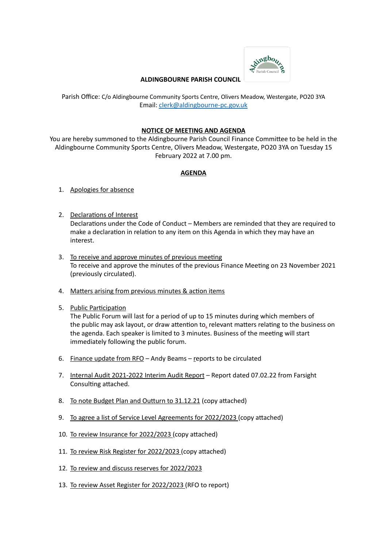

## **ALDINGBOURNE PARISH COUNCIL**

Parish Office: C/o Aldingbourne Community Sports Centre, Olivers Meadow, Westergate, PO20 3YA Email: [clerk@aldingbourne-pc.gov.uk](mailto:clerk@aldingbourne-pc.gov.uk)

## **NOTICE OF MEETING AND AGENDA**

You are hereby summoned to the Aldingbourne Parish Council Finance Committee to be held in the Aldingbourne Community Sports Centre, Olivers Meadow, Westergate, PO20 3YA on Tuesday 15 February 2022 at 7.00 pm.

## **AGENDA**

- 1. Apologies for absence
- 2. Declarations of Interest Declarations under the Code of Conduct – Members are reminded that they are required to make a declaration in relation to any item on this Agenda in which they may have an interest.
- 3. To receive and approve minutes of previous meeting To receive and approve the minutes of the previous Finance Meeting on 23 November 2021 (previously circulated).
- 4. Matters arising from previous minutes & action items
- 5. Public Participation

The Public Forum will last for a period of up to 15 minutes during which members of the public may ask layout, or draw attention to, relevant matters relating to the business on the agenda. Each speaker is limited to 3 minutes. Business of the meeting will start immediately following the public forum.

- 6. Finance update from  $RFO -$  Andy Beams reports to be circulated
- 7. Internal Audit 2021-2022 Interim Audit Report Report dated 07.02.22 from Farsight Consulting attached.
- 8. To note Budget Plan and Outturn to 31.12.21 (copy attached)
- 9. To agree a list of Service Level Agreements for 2022/2023 (copy attached)
- 10. To review Insurance for 2022/2023 (copy attached)
- 11. To review Risk Register for 2022/2023 (copy attached)
- 12. To review and discuss reserves for 2022/2023
- 13. To review Asset Register for 2022/2023 (RFO to report)